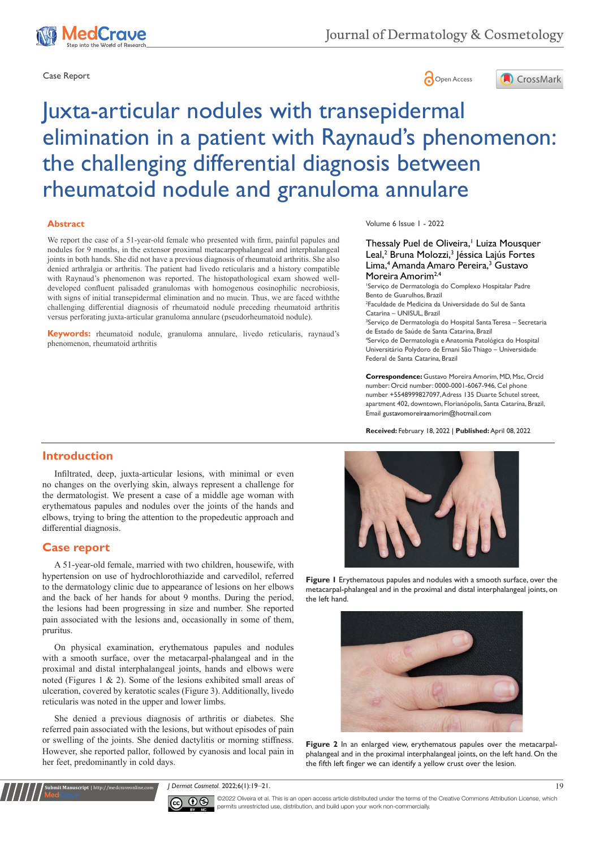





# Juxta-articular nodules with transepidermal elimination in a patient with Raynaud's phenomenon: the challenging differential diagnosis between rheumatoid nodule and granuloma annulare

#### **Abstract**

We report the case of a 51-year-old female who presented with firm, painful papules and nodules for 9 months, in the extensor proximal metacarpophalangeal and interphalangeal joints in both hands. She did not have a previous diagnosis of rheumatoid arthritis. She also denied arthralgia or arthritis. The patient had livedo reticularis and a history compatible with Raynaud's phenomenon was reported. The histopathological exam showed welldeveloped confluent palisaded granulomas with homogenous eosinophilic necrobiosis, with signs of initial transepidermal elimination and no mucin. Thus, we are faced withthe challenging differential diagnosis of rheumatoid nodule preceding rheumatoid arthritis versus perforating juxta-articular granuloma annulare (pseudorheumatoid nodule).

**Keywords:** rheumatoid nodule, granuloma annulare, livedo reticularis, raynaud's phenomenon, rheumatoid arthritis

#### Volume 6 Issue 1 - 2022

#### Thessaly Puel de Oliveira,<sup>1</sup> Luiza Mousquer Leal,<sup>2</sup> Bruna Molozzi,<sup>3</sup> Jéssica Lajús Fortes Lima,<sup>4</sup> Amanda Amaro Pereira,<sup>3</sup> Gustavo Moreira Amorim<sup>2,4</sup>

1 Serviço de Dermatologia do Complexo Hospitalar Padre Bento de Guarulhos, Brazil 2 Faculdade de Medicina da Universidade do Sul de Santa Catarina – UNISUL, Brazil 3 Serviço de Dermatologia do Hospital Santa Teresa – Secretaria de Estado de Saúde de Santa Catarina, Brazil 4 Serviço de Dermatologia e Anatomia Patológica do Hospital Universitário Polydoro de Ernani São Thiago – Universidade Federal de Santa Catarina, Brazil

**Correspondence:** Gustavo Moreira Amorim, MD, Msc, Orcid number: Orcid number: 0000-0001-6067-946, Cel phone number +5548999827097, Adress 135 Duarte Schutel street, apartment 402, downtown, Florianópolis, Santa Catarina, Brazil, Email gustavomoreiraamorim@hotmail.com

**Received:** February 18, 2022 | **Published:** April 08, 2022

# **Introduction**

Infiltrated, deep, juxta-articular lesions, with minimal or even no changes on the overlying skin, always represent a challenge for the dermatologist. We present a case of a middle age woman with erythematous papules and nodules over the joints of the hands and elbows, trying to bring the attention to the propedeutic approach and differential diagnosis.

### **Case report**

**Submit Manuscript** | http://medcraveonline.com

A 51-year-old female, married with two children, housewife, with hypertension on use of hydrochlorothiazide and carvedilol, referred to the dermatology clinic due to appearance of lesions on her elbows and the back of her hands for about 9 months. During the period, the lesions had been progressing in size and number. She reported pain associated with the lesions and, occasionally in some of them, pruritus.

On physical examination, erythematous papules and nodules with a smooth surface, over the metacarpal-phalangeal and in the proximal and distal interphalangeal joints, hands and elbows were noted (Figures 1 & 2). Some of the lesions exhibited small areas of ulceration, covered by keratotic scales (Figure 3). Additionally, livedo reticularis was noted in the upper and lower limbs.

She denied a previous diagnosis of arthritis or diabetes. She referred pain associated with the lesions, but without episodes of pain or swelling of the joints. She denied dactylitis or morning stiffness. However, she reported pallor, followed by cyanosis and local pain in her feet, predominantly in cold days.



**Figure 1** Erythematous papules and nodules with a smooth surface, over the metacarpal-phalangeal and in the proximal and distal interphalangeal joints, on the left hand.



**Figure 2** In an enlarged view, erythematous papules over the metacarpalphalangeal and in the proximal interphalangeal joints, on the left hand. On the the fifth left finger we can identify a yellow crust over the lesion.

*J Dermat Cosmetol.* 2022;6(1):19‒21. 19



©2022 Oliveira et al. This is an open access article distributed under the terms of the [Creative Commons Attribution License,](https://creativecommons.org/licenses/by-nc/4.0/) which permits unrestricted use, distribution, and build upon your work non-commercially.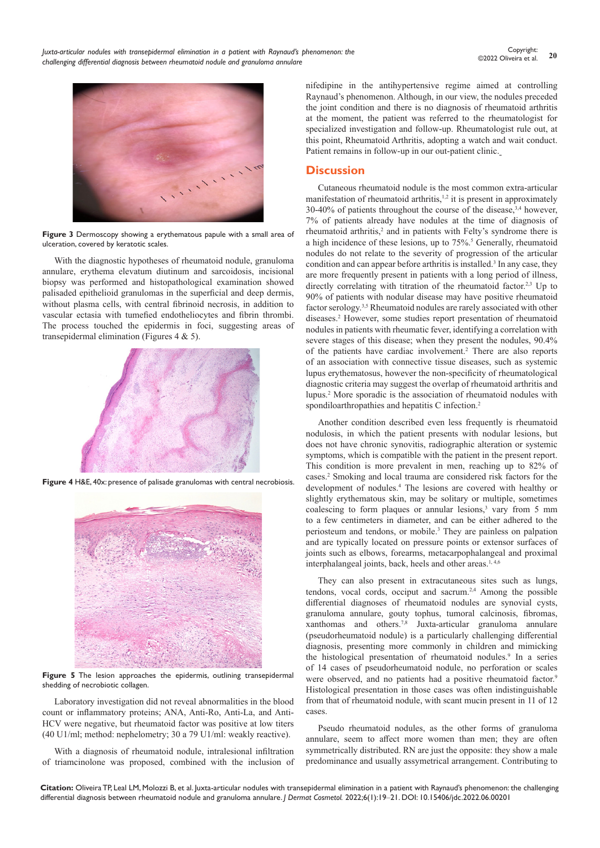*Juxta-articular nodules with transepidermal elimination in a patient with Raynaud's phenomenon: the challenging differential diagnosis between rheumatoid nodule and granuloma annulare*



**Figure 3** Dermoscopy showing a erythematous papule with a small area of ulceration, covered by keratotic scales.

With the diagnostic hypotheses of rheumatoid nodule, granuloma annulare, erythema elevatum diutinum and sarcoidosis, incisional biopsy was performed and histopathological examination showed palisaded epithelioid granulomas in the superficial and deep dermis, without plasma cells, with central fibrinoid necrosis, in addition to vascular ectasia with tumefied endotheliocytes and fibrin thrombi. The process touched the epidermis in foci, suggesting areas of transepidermal elimination (Figures 4 & 5).



**Figure 4** H&E, 40x: presence of palisade granulomas with central necrobiosis.



**Figure 5** The lesion approaches the epidermis, outlining transepidermal shedding of necrobiotic collagen.

Laboratory investigation did not reveal abnormalities in the blood count or inflammatory proteins; ANA, Anti-Ro, Anti-La, and Anti-HCV were negative, but rheumatoid factor was positive at low titers (40 U1/ml; method: nephelometry; 30 a 79 U1/ml: weakly reactive).

With a diagnosis of rheumatoid nodule, intralesional infiltration of triamcinolone was proposed, combined with the inclusion of nifedipine in the antihypertensive regime aimed at controlling Raynaud's phenomenon. Although, in our view, the nodules preceded the joint condition and there is no diagnosis of rheumatoid arthritis at the moment, the patient was referred to the rheumatologist for specialized investigation and follow-up. Rheumatologist rule out, at this point, Rheumatoid Arthritis, adopting a watch and wait conduct. Patient remains in follow-up in our out-patient clinic.

## **Discussion**

Cutaneous rheumatoid nodule is the most common extra-articular manifestation of rheumatoid arthritis, $1,2$  it is present in approximately 30-40% of patients throughout the course of the disease,3,4 however, 7% of patients already have nodules at the time of diagnosis of rheumatoid arthritis,<sup>2</sup> and in patients with Felty's syndrome there is a high incidence of these lesions, up to 75%.<sup>5</sup> Generally, rheumatoid nodules do not relate to the severity of progression of the articular condition and can appear before arthritis is installed.<sup>3</sup> In any case, they are more frequently present in patients with a long period of illness, directly correlating with titration of the rheumatoid factor.<sup>2,3</sup> Up to 90% of patients with nodular disease may have positive rheumatoid factor serology.3,5 Rheumatoid nodules are rarely associated with other diseases.2 However, some studies report presentation of rheumatoid nodules in patients with rheumatic fever, identifying a correlation with severe stages of this disease; when they present the nodules, 90.4% of the patients have cardiac involvement.<sup>2</sup> There are also reports of an association with connective tissue diseases, such as systemic lupus erythematosus, however the non-specificity of rheumatological diagnostic criteria may suggest the overlap of rheumatoid arthritis and lupus.2 More sporadic is the association of rheumatoid nodules with spondiloarthropathies and hepatitis C infection.2

Another condition described even less frequently is rheumatoid nodulosis, in which the patient presents with nodular lesions, but does not have chronic synovitis, radiographic alteration or systemic symptoms, which is compatible with the patient in the present report. This condition is more prevalent in men, reaching up to 82% of cases.2 Smoking and local trauma are considered risk factors for the development of nodules.4 The lesions are covered with healthy or slightly erythematous skin, may be solitary or multiple, sometimes coalescing to form plaques or annular lesions,<sup>3</sup> vary from 5 mm to a few centimeters in diameter, and can be either adhered to the periosteum and tendons, or mobile.3 They are painless on palpation and are typically located on pressure points or extensor surfaces of joints such as elbows, forearms, metacarpophalangeal and proximal interphalangeal joints, back, heels and other areas.<sup>1,4,6</sup>

They can also present in extracutaneous sites such as lungs, tendons, vocal cords, occiput and sacrum.2,4 Among the possible differential diagnoses of rheumatoid nodules are synovial cysts, granuloma annulare, gouty tophus, tumoral calcinosis, fibromas, xanthomas and others.7,8 Juxta-articular granuloma annulare (pseudorheumatoid nodule) is a particularly challenging differential diagnosis, presenting more commonly in children and mimicking the histological presentation of rheumatoid nodules.<sup>9</sup> In a series of 14 cases of pseudorheumatoid nodule, no perforation or scales were observed, and no patients had a positive rheumatoid factor.<sup>9</sup> Histological presentation in those cases was often indistinguishable from that of rheumatoid nodule, with scant mucin present in 11 of 12 cases.

Pseudo rheumatoid nodules, as the other forms of granuloma annulare, seem to affect more women than men; they are often symmetrically distributed. RN are just the opposite: they show a male predominance and usually assymetrical arrangement. Contributing to

**Citation:** Oliveira TP, Leal LM, Molozzi B, et al. Juxta-articular nodules with transepidermal elimination in a patient with Raynaud's phenomenon: the challenging differential diagnosis between rheumatoid nodule and granuloma annulare. *J Dermat Cosmetol.* 2022;6(1):19‒21. DOI: [10.15406/jdc.2022.06.00201](https://doi.org/10.15406/jdc.2022.06.00201)